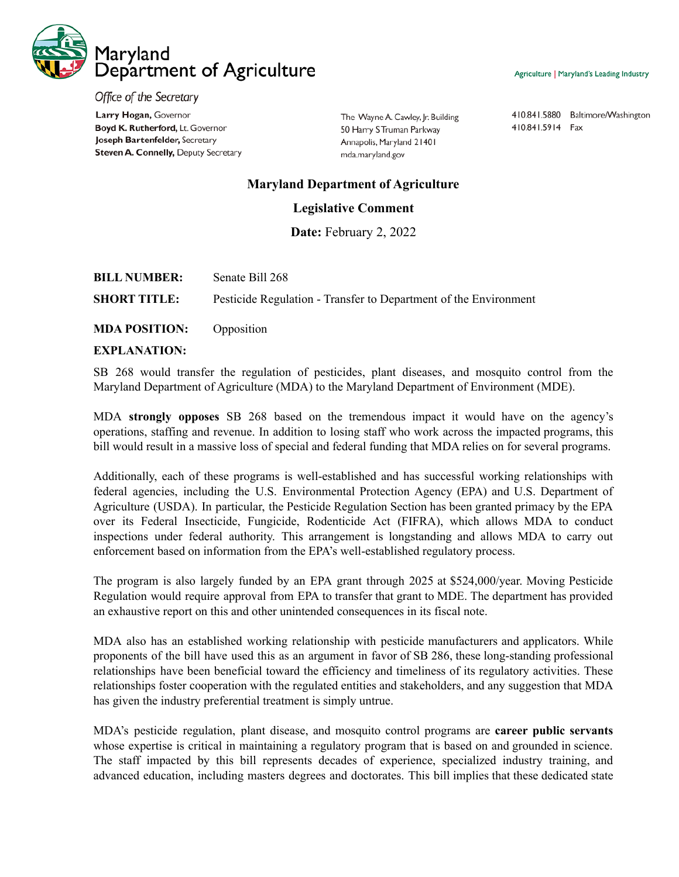

Agriculture | Maryland's Leading Industry

Office of the Secretary Larry Hogan, Governor Boyd K. Rutherford, Lt. Governor Joseph Bartenfelder, Secretary Steven A. Connelly, Deputy Secretary

The Wayne A. Cawley, Jr. Building 50 Harry S Truman Parkway Annapolis, Maryland 21401 mda.maryland.gov

410.841.5880 Baltimore/Washington 410.841.5914 Fax

## **Maryland Department of Agriculture**

## **Legislative Comment**

**Date:** February 2, 2022

| <b>BILL NUMBER:</b> | Senate Bill 268                                                  |
|---------------------|------------------------------------------------------------------|
| <b>SHORT TITLE:</b> | Pesticide Regulation - Transfer to Department of the Environment |
|                     |                                                                  |

**MDA POSITION:** Opposition

## **EXPLANATION:**

SB 268 would transfer the regulation of pesticides, plant diseases, and mosquito control from the Maryland Department of Agriculture (MDA) to the Maryland Department of Environment (MDE).

MDA **strongly opposes** SB 268 based on the tremendous impact it would have on the agency's operations, staffing and revenue. In addition to losing staff who work across the impacted programs, this bill would result in a massive loss of special and federal funding that MDA relies on for several programs.

Additionally, each of these programs is well-established and has successful working relationships with federal agencies, including the U.S. Environmental Protection Agency (EPA) and U.S. Department of Agriculture (USDA). In particular, the Pesticide Regulation Section has been granted primacy by the EPA over its Federal Insecticide, Fungicide, Rodenticide Act (FIFRA), which allows MDA to conduct inspections under federal authority. This arrangement is longstanding and allows MDA to carry out enforcement based on information from the EPA's well-established regulatory process.

The program is also largely funded by an EPA grant through 2025 at \$524,000/year. Moving Pesticide Regulation would require approval from EPA to transfer that grant to MDE. The department has provided an exhaustive report on this and other unintended consequences in its fiscal note.

MDA also has an established working relationship with pesticide manufacturers and applicators. While proponents of the bill have used this as an argument in favor of SB 286, these long-standing professional relationships have been beneficial toward the efficiency and timeliness of its regulatory activities. These relationships foster cooperation with the regulated entities and stakeholders, and any suggestion that MDA has given the industry preferential treatment is simply untrue.

MDA's pesticide regulation, plant disease, and mosquito control programs are **career public servants** whose expertise is critical in maintaining a regulatory program that is based on and grounded in science. The staff impacted by this bill represents decades of experience, specialized industry training, and advanced education, including masters degrees and doctorates. This bill implies that these dedicated state